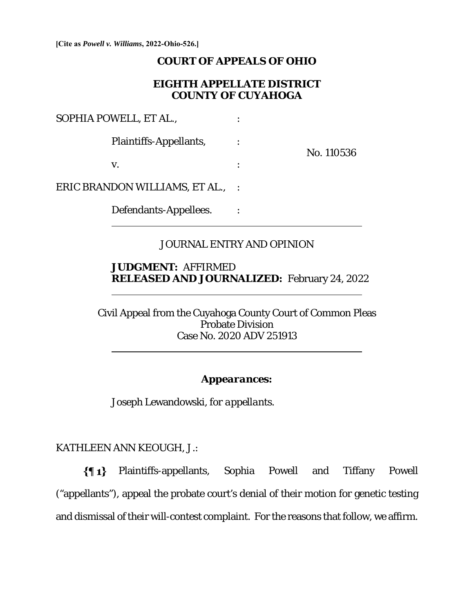**[Cite as** *Powell v. Williams***, 2022-Ohio-526.]**

#### **COURT OF APPEALS OF OHIO**

#### **EIGHTH APPELLATE DISTRICT COUNTY OF CUYAHOGA**

SOPHIA POWELL, ET AL.,  $\cdot$  :

Plaintiffs-Appellants, :

No. 110536

ERIC BRANDON WILLIAMS, ET AL., :

 $\overline{a}$ 

 $\overline{a}$ 

 $\overline{a}$ 

 $\mathbf{v}$ .  $\qquad \qquad$  :

Defendants-Appellees. :

### JOURNAL ENTRY AND OPINION

#### **JUDGMENT:** AFFIRMED **RELEASED AND JOURNALIZED:** February 24, 2022

Civil Appeal from the Cuyahoga County Court of Common Pleas Probate Division Case No. 2020 ADV 251913

### *Appearances:*

Joseph Lewandowski, *for appellants.*

KATHLEEN ANN KEOUGH, J.:

Plaintiffs-appellants, Sophia Powell and Tiffany Powell ("appellants"), appeal the probate court's denial of their motion for genetic testing and dismissal of their will-contest complaint. For the reasons that follow, we affirm.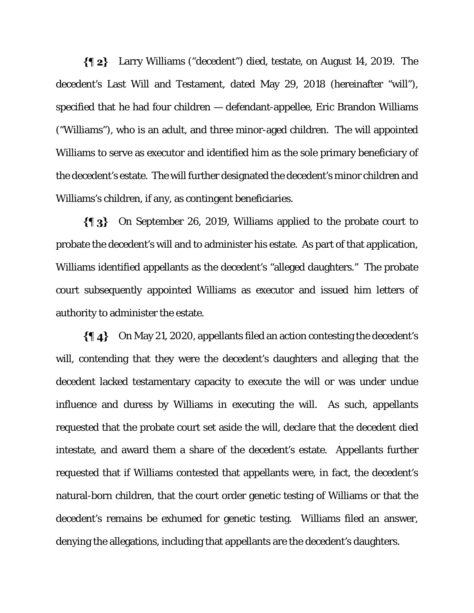Larry Williams ("decedent") died, testate, on August 14, 2019. The decedent's Last Will and Testament, dated May 29, 2018 (hereinafter "will"), specified that he had four children — defendant-appellee, Eric Brandon Williams ("Williams"), who is an adult, and three minor-aged children. The will appointed Williams to serve as executor and identified him as the sole primary beneficiary of the decedent's estate. The will further designated the decedent's minor children and Williams's children, if any, as contingent beneficiaries.

On September 26, 2019, Williams applied to the probate court to probate the decedent's will and to administer his estate. As part of that application, Williams identified appellants as the decedent's "alleged daughters." The probate court subsequently appointed Williams as executor and issued him letters of authority to administer the estate.

 $\{\P_4\}$  On May 21, 2020, appellants filed an action contesting the decedent's will, contending that they were the decedent's daughters and alleging that the decedent lacked testamentary capacity to execute the will or was under undue influence and duress by Williams in executing the will. As such, appellants requested that the probate court set aside the will, declare that the decedent died intestate, and award them a share of the decedent's estate. Appellants further requested that if Williams contested that appellants were, in fact, the decedent's natural-born children, that the court order genetic testing of Williams or that the decedent's remains be exhumed for genetic testing. Williams filed an answer, denying the allegations, including that appellants are the decedent's daughters.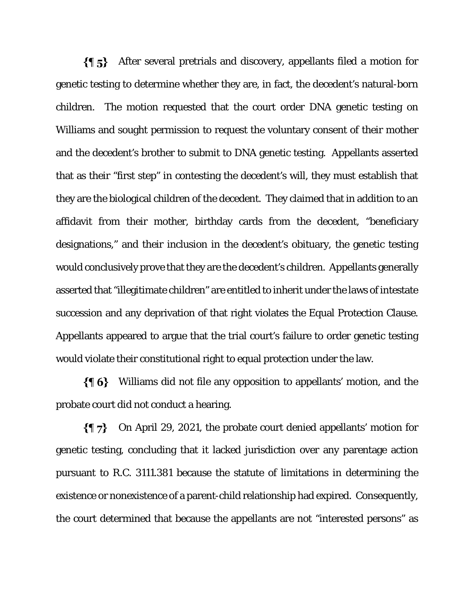After several pretrials and discovery, appellants filed a motion for genetic testing to determine whether they are, in fact, the decedent's natural-born children. The motion requested that the court order DNA genetic testing on Williams and sought permission to request the voluntary consent of their mother and the decedent's brother to submit to DNA genetic testing. Appellants asserted that as their "first step" in contesting the decedent's will, they must establish that they are the biological children of the decedent. They claimed that in addition to an affidavit from their mother, birthday cards from the decedent, "beneficiary designations," and their inclusion in the decedent's obituary, the genetic testing would conclusively prove that they are the decedent's children. Appellants generally asserted that "illegitimate children" are entitled to inherit under the laws of intestate succession and any deprivation of that right violates the Equal Protection Clause. Appellants appeared to argue that the trial court's failure to order genetic testing would violate their constitutional right to equal protection under the law.

Williams did not file any opposition to appellants' motion, and the probate court did not conduct a hearing.

 $\{ \P\}$ On April 29, 2021, the probate court denied appellants' motion for genetic testing, concluding that it lacked jurisdiction over any parentage action pursuant to R.C. 3111.381 because the statute of limitations in determining the existence or nonexistence of a parent-child relationship had expired. Consequently, the court determined that because the appellants are not "interested persons" as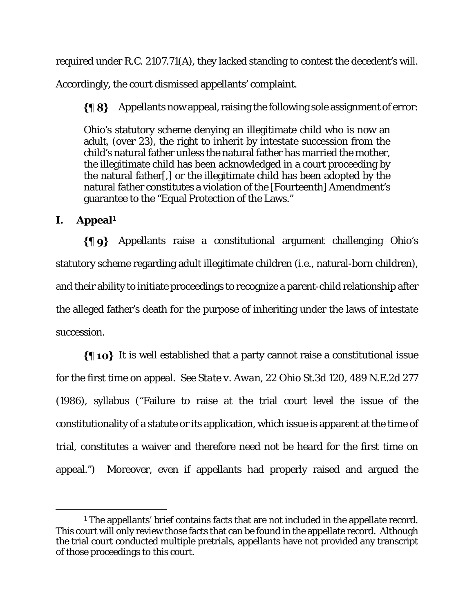required under R.C. 2107.71(A), they lacked standing to contest the decedent's will.

Accordingly, the court dismissed appellants' complaint.

 $\{\P 8\}$  Appellants now appeal, raising the following sole assignment of error:

Ohio's statutory scheme denying an illegitimate child who is now an adult, (over 23), the right to inherit by intestate succession from the child's natural father unless the natural father has married the mother, the illegitimate child has been acknowledged in a court proceeding by the natural father[,] or the illegitimate child has been adopted by the natural father constitutes a violation of the [Fourteenth] Amendment's guarantee to the "Equal Protection of the Laws."

# **I. Appeal1**

Appellants raise a constitutional argument challenging Ohio's statutory scheme regarding adult illegitimate children (i.e., natural-born children), and their ability to initiate proceedings to recognize a parent-child relationship after the alleged father's death for the purpose of inheriting under the laws of intestate succession.

 $\{\P$  10} It is well established that a party cannot raise a constitutional issue for the first time on appeal. *See State v. Awan*, 22 Ohio St.3d 120, 489 N.E.2d 277 (1986), syllabus ("Failure to raise at the trial court level the issue of the constitutionality of a statute or its application, which issue is apparent at the time of trial, constitutes a waiver and therefore need not be heard for the first time on appeal.") Moreover, even if appellants had properly raised and argued the

<sup>&</sup>lt;sup>1</sup> The appellants' brief contains facts that are not included in the appellate record. This court will only review those facts that can be found in the appellate record. Although the trial court conducted multiple pretrials, appellants have not provided any transcript of those proceedings to this court.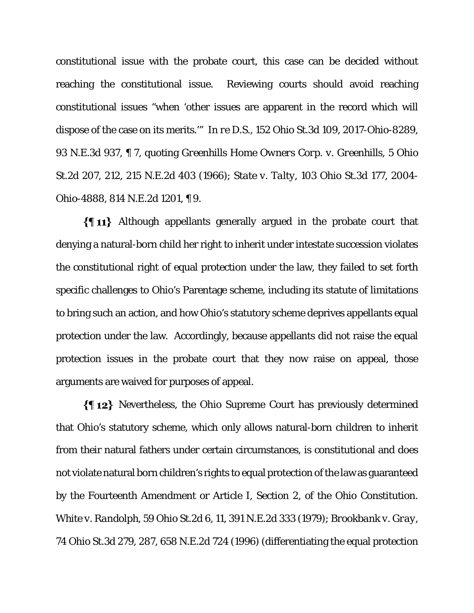constitutional issue with the probate court, this case can be decided without reaching the constitutional issue. Reviewing courts should avoid reaching constitutional issues "when 'other issues are apparent in the record which will dispose of the case on its merits.'" *In re D.S*., 152 Ohio St.3d 109, 2017-Ohio-8289, 93 N.E.3d 937, ¶ 7, quoting *Greenhills Home Owners Corp. v. Greenhills*, 5 Ohio St.2d 207, 212, 215 N.E.2d 403 (1966); *State v. Talty*, 103 Ohio St.3d 177, 2004- Ohio-4888, 814 N.E.2d 1201, ¶ 9.

Although appellants generally argued in the probate court that denying a natural-born child her right to inherit under intestate succession violates the constitutional right of equal protection under the law, they failed to set forth specific challenges to Ohio's Parentage scheme, including its statute of limitations to bring such an action, and how Ohio's statutory scheme deprives appellants equal protection under the law. Accordingly, because appellants did not raise the equal protection issues in the probate court that they now raise on appeal, those arguments are waived for purposes of appeal.

Nevertheless, the Ohio Supreme Court has previously determined that Ohio's statutory scheme, which only allows natural-born children to inherit from their natural fathers under certain circumstances, is constitutional and does not violate natural born children's rights to equal protection of the law as guaranteed by the Fourteenth Amendment or Article I, Section 2, of the Ohio Constitution. *White v. Randolph*, 59 Ohio St.2d 6, 11, 391 N.E.2d 333 (1979); *Brookbank v. Gray*, 74 Ohio St.3d 279, 287, 658 N.E.2d 724 (1996) (differentiating the equal protection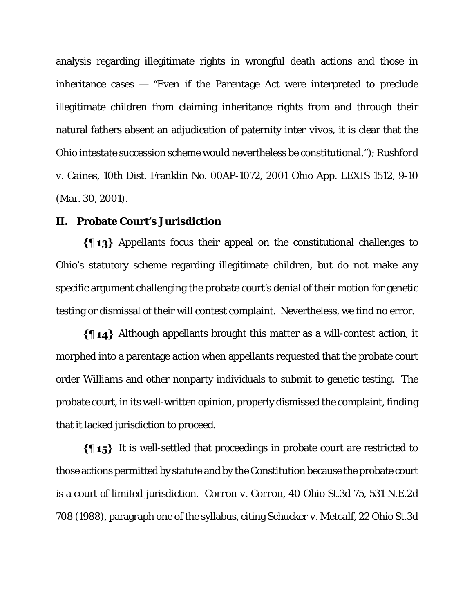analysis regarding illegitimate rights in wrongful death actions and those in inheritance cases — "Even if the Parentage Act were interpreted to preclude illegitimate children from claiming inheritance rights from and through their natural fathers absent an adjudication of paternity *inter vivos*, it is clear that the Ohio intestate succession scheme would nevertheless be constitutional."); *Rushford v. Caines*, 10th Dist. Franklin No. 00AP-1072, 2001 Ohio App. LEXIS 1512, 9-10 (Mar. 30, 2001).

#### **II. Probate Court's Jurisdiction**

Appellants focus their appeal on the constitutional challenges to Ohio's statutory scheme regarding illegitimate children, but do not make any specific argument challenging the probate court's denial of their motion for genetic testing or dismissal of their will contest complaint. Nevertheless, we find no error.

 $\{\{\,\,\,\,\,\,\}\}$  Although appellants brought this matter as a will-contest action, it morphed into a parentage action when appellants requested that the probate court order Williams and other nonparty individuals to submit to genetic testing. The probate court, in its well-written opinion, properly dismissed the complaint, finding that it lacked jurisdiction to proceed.

 $\{\{\,\,\,\,\,\}\}$  It is well-settled that proceedings in probate court are restricted to those actions permitted by statute and by the Constitution because the probate court is a court of limited jurisdiction. *Corron v. Corron*, 40 Ohio St.3d 75, 531 N.E.2d 708 (1988), paragraph one of the syllabus, citing *Schucker v. Metcalf*, 22 Ohio St.3d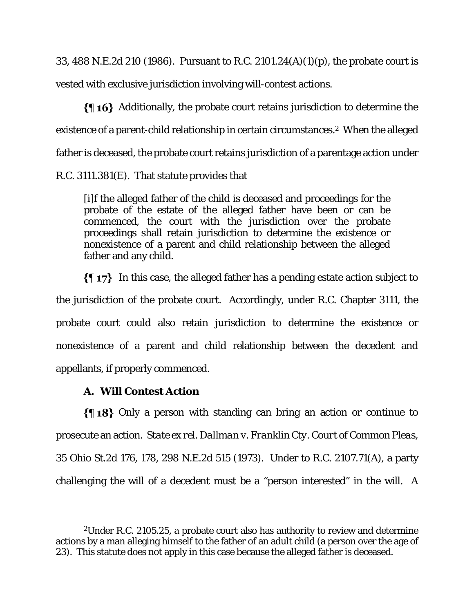33, 488 N.E.2d 210 (1986). Pursuant to R.C. 2101.24(A)(1)(p), the probate court is vested with exclusive jurisdiction involving will-contest actions.

 $\{ \{ \phi\} \}$  Additionally, the probate court retains jurisdiction to determine the existence of a parent-child relationship in certain circumstances.<sup>2</sup> When the alleged father is deceased, the probate court retains jurisdiction of a parentage action under R.C. 3111.381(E). That statute provides that

[i]f the alleged father of the child is deceased and proceedings for the probate of the estate of the alleged father have been or can be commenced, the court with the jurisdiction over the probate proceedings shall retain jurisdiction to determine the existence or nonexistence of a parent and child relationship between the alleged father and any child.

 $\{\P\$  17} In this case, the alleged father has a pending estate action subject to the jurisdiction of the probate court. Accordingly, under R.C. Chapter 3111, the probate court could also retain jurisdiction to determine the existence or nonexistence of a parent and child relationship between the decedent and appellants, if properly commenced.

## **A. Will Contest Action**

 $\{\{\,\,\}\,3\}$  Only a person with standing can bring an action or continue to prosecute an action. *State ex rel. Dallman v. Franklin Cty. Court of Common Pleas*, 35 Ohio St.2d 176, 178, 298 N.E.2d 515 (1973). Under to R.C. 2107.71(A), a party challenging the will of a decedent must be a "person interested" in the will. A

<sup>2</sup>Under R.C. 2105.25, a probate court also has authority to review and determine actions by a man alleging himself to the father of an adult child (a person over the age of 23). This statute does not apply in this case because the alleged father is deceased.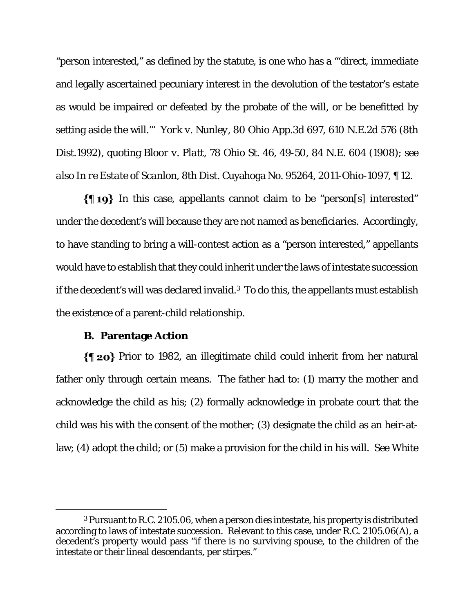"person interested," as defined by the statute, is one who has a "'direct, immediate and legally ascertained pecuniary interest in the devolution of the testator's estate as would be impaired or defeated by the probate of the will, or be benefitted by setting aside the will.'" *York v. Nunley*, 80 Ohio App.3d 697, 610 N.E.2d 576 (8th Dist.1992), quoting *Bloor v. Platt*, 78 Ohio St. 46, 49-50, 84 N.E. 604 (1908); *see also In re Estate of Scanlon*, 8th Dist. Cuyahoga No. 95264, 2011-Ohio-1097, ¶ 12.

 $\{\P_1\}$  In this case, appellants cannot claim to be "person[s] interested" under the decedent's will because they are not named as beneficiaries. Accordingly, to have standing to bring a will-contest action as a "person interested," appellants would have to establish that they could inherit under the laws of intestate succession if the decedent's will was declared invalid.3 To do this, the appellants must establish the existence of a parent-child relationship.

#### **B. Parentage Action**

 $\{\P$  20} Prior to 1982, an illegitimate child could inherit from her natural father only through certain means. The father had to: (1) marry the mother and acknowledge the child as his; (2) formally acknowledge in probate court that the child was his with the consent of the mother; (3) designate the child as an heir-atlaw; (4) adopt the child; or (5) make a provision for the child in his will. *See White* 

<sup>3</sup> Pursuant to R.C. 2105.06, when a person dies intestate, his property is distributed according to laws of intestate succession. Relevant to this case, under R.C. 2105.06(A), a decedent's property would pass "if there is no surviving spouse, to the children of the intestate or their lineal descendants, per stirpes."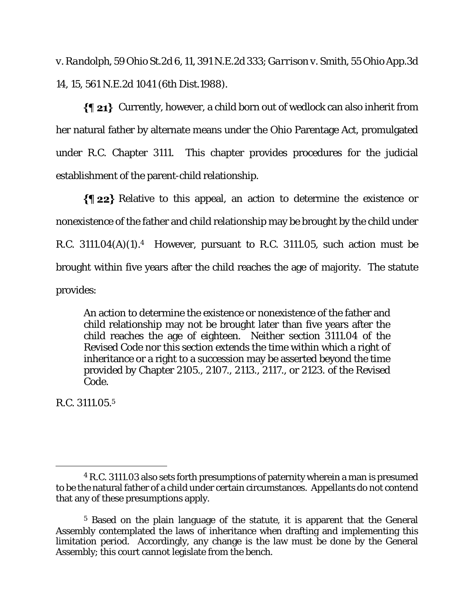*v. Randolph*, 59 Ohio St.2d 6, 11, 391 N.E.2d 333; *Garrison v. Smith*, 55 Ohio App.3d 14, 15, 561 N.E.2d 1041 (6th Dist.1988).

 $\{\P 21\}$  Currently, however, a child born out of wedlock can also inherit from her natural father by alternate means under the Ohio Parentage Act, promulgated under R.C. Chapter 3111. This chapter provides procedures for the judicial establishment of the parent-child relationship.

Relative to this appeal, an action to determine the existence or nonexistence of the father and child relationship may be brought by the child under R.C. 3111.04 $(A)(1)$ .<sup>4</sup> However, pursuant to R.C. 3111.05, such action must be brought within five years after the child reaches the age of majority. The statute provides:

An action to determine the existence or nonexistence of the father and child relationship may not be brought later than five years after the child reaches the age of eighteen. Neither section 3111.04 of the Revised Code nor this section extends the time within which a right of inheritance or a right to a succession may be asserted beyond the time provided by Chapter 2105., 2107., 2113., 2117., or 2123. of the Revised Code.

R.C. 3111.05.5

<sup>4</sup> R.C. 3111.03 also sets forth presumptions of paternity wherein a man is presumed to be the natural father of a child under certain circumstances. Appellants do not contend that any of these presumptions apply.

<sup>5</sup> Based on the plain language of the statute, it is apparent that the General Assembly contemplated the laws of inheritance when drafting and implementing this limitation period. Accordingly, any change is the law must be done by the General Assembly; this court cannot legislate from the bench.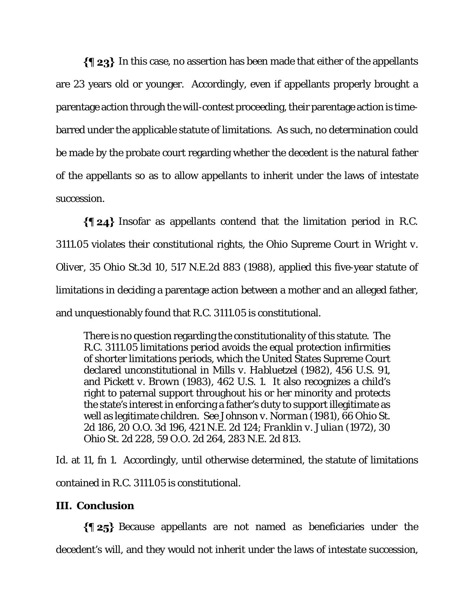$\{\P 23\}$  In this case, no assertion has been made that either of the appellants are 23 years old or younger. Accordingly, even if appellants properly brought a parentage action through the will-contest proceeding, their parentage action is timebarred under the applicable statute of limitations. As such, no determination could be made by the probate court regarding whether the decedent is the natural father of the appellants so as to allow appellants to inherit under the laws of intestate succession.

Insofar as appellants contend that the limitation period in R.C. 3111.05 violates their constitutional rights, the Ohio Supreme Court in *Wright v. Oliver*, 35 Ohio St.3d 10, 517 N.E.2d 883 (1988), applied this five-year statute of limitations in deciding a parentage action between a mother and an alleged father, and unquestionably found that R.C. 3111.05 is constitutional.

There is no question regarding the constitutionality of this statute. The R.C. 3111.05 limitations period avoids the equal protection infirmities of shorter limitations periods, which the United States Supreme Court declared unconstitutional in *Mills v. Habluetzel* (1982), 456 U.S. 91, and *Pickett v. Brown* (1983), 462 U.S. 1. It also recognizes a child's right to paternal support throughout his or her minority and protects the state's interest in enforcing a father's duty to support illegitimate as well as legitimate children. *See Johnson v. Norman* (1981), 66 Ohio St. 2d 186, 20 O.O. 3d 196, 421 N.E. 2d 124; *Franklin v. Julian* (1972), 30 Ohio St. 2d 228, 59 O.O. 2d 264, 283 N.E. 2d 813.

*Id.* at 11, fn 1. Accordingly, until otherwise determined, the statute of limitations contained in R.C. 3111.05 is constitutional.

## **III. Conclusion**

 $\{\P 25\}$  Because appellants are not named as beneficiaries under the decedent's will, and they would not inherit under the laws of intestate succession,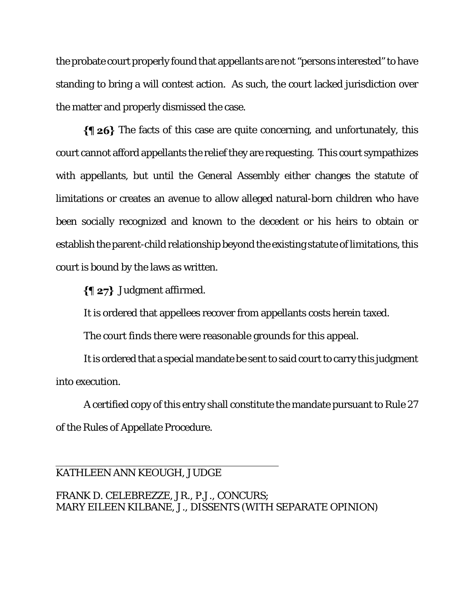the probate court properly found that appellants are not "persons interested" to have standing to bring a will contest action. As such, the court lacked jurisdiction over the matter and properly dismissed the case.

 $\{\P 26\}$  The facts of this case are quite concerning, and unfortunately, this court cannot afford appellants the relief they are requesting. This court sympathizes with appellants, but until the General Assembly either changes the statute of limitations or creates an avenue to allow alleged natural-born children who have been socially recognized and known to the decedent or his heirs to obtain or establish the parent-child relationship beyond the existing statute of limitations, this court is bound by the laws as written.

 $\{\P 27\}$  Judgment affirmed.

It is ordered that appellees recover from appellants costs herein taxed.

The court finds there were reasonable grounds for this appeal.

It is ordered that a special mandate be sent to said court to carry this judgment into execution.

A certified copy of this entry shall constitute the mandate pursuant to Rule 27 of the Rules of Appellate Procedure.

### KATHLEEN ANN KEOUGH, JUDGE

 $\overline{a}$ 

FRANK D. CELEBREZZE, JR., P.J., CONCURS; MARY EILEEN KILBANE, J., DISSENTS (WITH SEPARATE OPINION)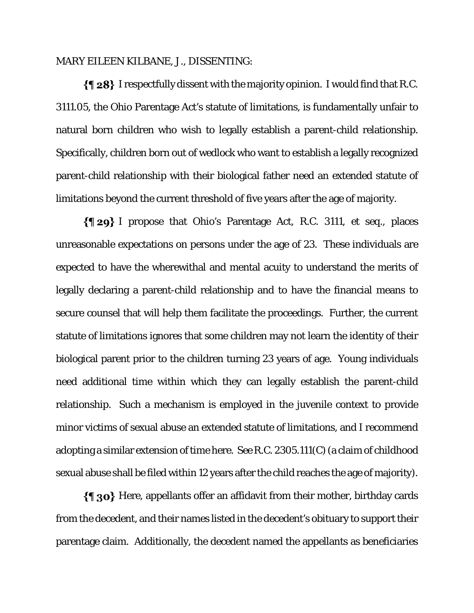#### MARY EILEEN KILBANE, J., DISSENTING:

 $\{ \{ 28\}$  I respectfully dissent with the majority opinion. I would find that R.C. 3111.05, the Ohio Parentage Act's statute of limitations, is fundamentally unfair to natural born children who wish to legally establish a parent-child relationship. Specifically, children born out of wedlock who want to establish a legally recognized parent-child relationship with their biological father need an extended statute of limitations beyond the current threshold of five years after the age of majority.

I propose that Ohio's Parentage Act, R.C. 3111, et seq., places unreasonable expectations on persons under the age of 23. These individuals are expected to have the wherewithal and mental acuity to understand the merits of legally declaring a parent-child relationship and to have the financial means to secure counsel that will help them facilitate the proceedings. Further, the current statute of limitations ignores that some children may not learn the identity of their biological parent prior to the children turning 23 years of age. Young individuals need additional time within which they can legally establish the parent-child relationship. Such a mechanism is employed in the juvenile context to provide minor victims of sexual abuse an extended statute of limitations, and I recommend adopting a similar extension of time here. *See* R.C. 2305.111(C) (a claim of childhood sexual abuse shall be filed within 12 years after the child reaches the age of majority).

 $\{\P$  30} Here, appellants offer an affidavit from their mother, birthday cards from the decedent, and their names listed in the decedent's obituary to support their parentage claim. Additionally, the decedent named the appellants as beneficiaries